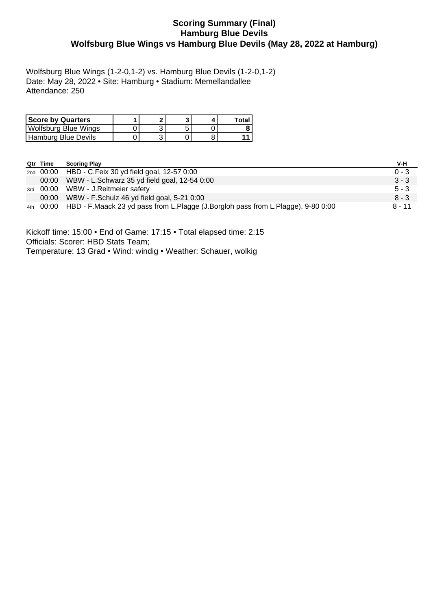# **Scoring Summary (Final) Hamburg Blue Devils Wolfsburg Blue Wings vs Hamburg Blue Devils (May 28, 2022 at Hamburg)**

Wolfsburg Blue Wings (1-2-0,1-2) vs. Hamburg Blue Devils (1-2-0,1-2) Date: May 28, 2022 • Site: Hamburg • Stadium: Memellandallee Attendance: 250

| <b>Score by Quarters</b>    | ◚ |  | Total |
|-----------------------------|---|--|-------|
| <b>Wolfsburg Blue Wings</b> |   |  |       |
| Hamburg Blue Devils         |   |  |       |

| Qtr Time | <b>Scoring Play</b>                                                                        | V-H      |
|----------|--------------------------------------------------------------------------------------------|----------|
|          | 2nd 00:00 HBD - C. Feix 30 yd field goal, 12-57 0:00                                       | $0 - 3$  |
|          | 00:00 WBW - L.Schwarz 35 yd field goal, 12-54 0:00                                         | $3 - 3$  |
|          | 3rd 00:00 WBW - J.Reitmeier safety                                                         | $5 - 3$  |
|          | 00:00 WBW - F.Schulz 46 yd field goal, 5-21 0:00                                           | $8 - 3$  |
|          | 4th 00:00 HBD - F.Maack 23 yd pass from L.Plagge (J.Borgloh pass from L.Plagge), 9-80 0:00 | $8 - 11$ |

Kickoff time: 15:00 • End of Game: 17:15 • Total elapsed time: 2:15 Officials: Scorer: HBD Stats Team; Temperature: 13 Grad • Wind: windig • Weather: Schauer, wolkig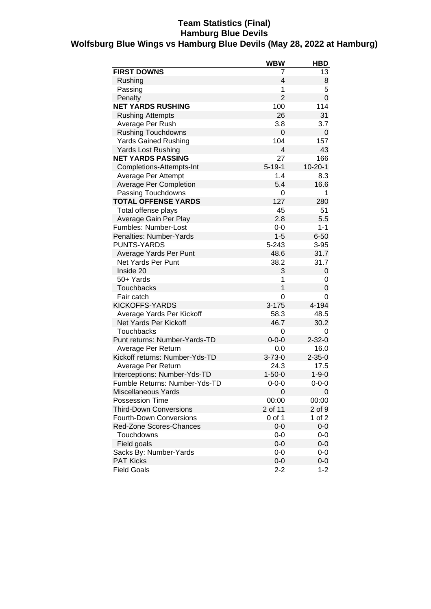## **Team Statistics (Final) Hamburg Blue Devils Wolfsburg Blue Wings vs Hamburg Blue Devils (May 28, 2022 at Hamburg)**

|                                | <b>WBW</b>     | <b>HBD</b>    |
|--------------------------------|----------------|---------------|
| <b>FIRST DOWNS</b>             | 7              | 13            |
| Rushing                        | 4              | 8             |
| Passing                        | 1              | 5             |
| Penalty                        | $\overline{2}$ | 0             |
| <b>NET YARDS RUSHING</b>       | 100            | 114           |
| <b>Rushing Attempts</b>        | 26             | 31            |
| Average Per Rush               | 3.8            | 3.7           |
| <b>Rushing Touchdowns</b>      | 0              | 0             |
| <b>Yards Gained Rushing</b>    | 104            | 157           |
| <b>Yards Lost Rushing</b>      | $\overline{4}$ | 43            |
| <b>NET YARDS PASSING</b>       | 27             | 166           |
| Completions-Attempts-Int       | $5 - 19 - 1$   | $10 - 20 - 1$ |
| Average Per Attempt            | 1.4            | 8.3           |
| <b>Average Per Completion</b>  | 5.4            | 16.6          |
| Passing Touchdowns             | 0              | 1             |
| <b>TOTAL OFFENSE YARDS</b>     | 127            | 280           |
| Total offense plays            | 45             | 51            |
| Average Gain Per Play          | 2.8            | 5.5           |
| Fumbles: Number-Lost           | $0 - 0$        | $1 - 1$       |
| Penalties: Number-Yards        | $1 - 5$        | $6 - 50$      |
| <b>PUNTS-YARDS</b>             | 5-243          | $3 - 95$      |
| Average Yards Per Punt         | 48.6           | 31.7          |
| Net Yards Per Punt             | 38.2           | 31.7          |
| Inside 20                      | 3              | 0             |
| 50+ Yards                      | 1              | 0             |
| <b>Touchbacks</b>              | $\overline{1}$ | 0             |
| Fair catch                     | 0              | 0             |
| KICKOFFS-YARDS                 | $3 - 175$      | 4-194         |
| Average Yards Per Kickoff      | 58.3           | 48.5          |
| Net Yards Per Kickoff          | 46.7           | 30.2          |
| <b>Touchbacks</b>              | 0              | 0             |
| Punt returns: Number-Yards-TD  | $0 - 0 - 0$    | $2 - 32 - 0$  |
| Average Per Return             | 0.0            | 16.0          |
| Kickoff returns: Number-Yds-TD | $3 - 73 - 0$   | $2 - 35 - 0$  |
| Average Per Return             | 24.3           | 17.5          |
| Interceptions: Number-Yds-TD   | $1 - 50 - 0$   | $1 - 9 - 0$   |
| Fumble Returns: Number-Yds-TD  | $0 - 0 - 0$    | $0 - 0 - 0$   |
| <b>Miscellaneous Yards</b>     | 0              | 0             |
| <b>Possession Time</b>         | 00:00          | 00:00         |
| <b>Third-Down Conversions</b>  | 2 of 11        | $2$ of $9$    |
| <b>Fourth-Down Conversions</b> | 0 of 1         | 1 of 2        |
| Red-Zone Scores-Chances        | $0-0$          | $0-0$         |
| Touchdowns                     | $0-0$          | 0-0           |
| Field goals                    | $0-0$          | $0-0$         |
| Sacks By: Number-Yards         | $0-0$          | 0-0           |
| <b>PAT Kicks</b>               | $0-0$          | 0-0           |
| <b>Field Goals</b>             | $2 - 2$        | $1 - 2$       |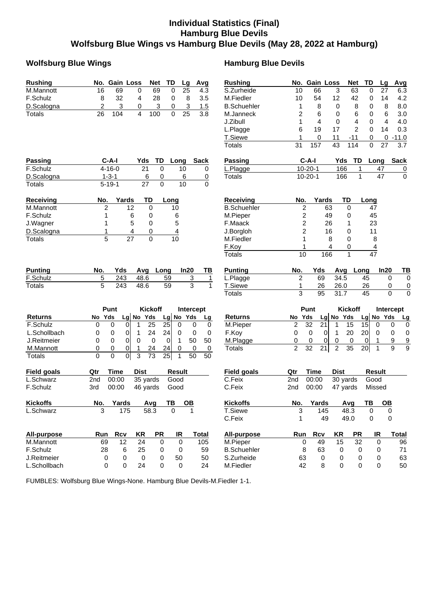# **Individual Statistics (Final) Hamburg Blue Devils Wolfsburg Blue Wings vs Hamburg Blue Devils (May 28, 2022 at Hamburg)**

### **Wolfsburg Blue Wings Hamburg Blue Devils**

| <b>Rushing</b>     | No. Gain Loss<br><b>Net</b><br>TD<br>Lg<br>Avg                          | <b>Rushing</b>     | No. Gain Loss<br>Net<br>TD<br>Lq                                                      | Avg                              |
|--------------------|-------------------------------------------------------------------------|--------------------|---------------------------------------------------------------------------------------|----------------------------------|
| M.Mannott          | 16<br>69<br>0<br>69<br>25<br>0<br>4.3                                   | S.Zurheide         | 27<br>10<br>66<br>3<br>63<br>0                                                        | 6.3                              |
| F.Schulz           | 8<br>32<br>28<br>0<br>4<br>8<br>3.5                                     | M.Fiedler          | 10<br>54<br>12<br>42<br>0<br>14                                                       | 4.2                              |
| D.Scalogna         | 2<br>3<br>3<br>3<br>1.5<br>0<br>0                                       | <b>B.Schuehler</b> | 8<br>0<br>8<br>8<br>1<br>0                                                            | 8.0                              |
| <b>Totals</b>      | 26<br>104<br>4<br>100<br>$\Omega$<br>25<br>3.8                          | M.Janneck          | 2<br>6<br>6<br>6<br>0<br>0                                                            | 3.0                              |
|                    |                                                                         | J.Zibull           | 1<br>4<br>0<br>4<br>4<br>0                                                            | 4.0                              |
|                    |                                                                         | L.Plagge           | $\overline{2}$<br>6<br>19<br>17<br>0<br>14                                            | 0.3                              |
|                    |                                                                         | T.Siewe            | 11<br>$-11$<br>1<br>0<br>0                                                            | $0 - 11.0$                       |
|                    |                                                                         | <b>Totals</b>      | 157<br>43<br>114<br>27<br>31<br>$\mathbf 0$                                           | 3.7                              |
| Passing            | $C-A-I$<br>TD<br>Yds<br>Long<br><b>Sack</b>                             | Passing            | $C-A-I$<br>Yds<br>TD<br>Long                                                          | <b>Sack</b>                      |
| F.Schulz           | $4 - 16 - 0$<br>21<br>$\mathbf 0$<br>10<br>0                            | L.Plagge           | $10 - 20 - 1$<br>166<br>$\mathbf{1}$<br>47                                            | $\overline{0}$                   |
| D.Scalogna         | $1 - 3 - 1$<br>6<br>0<br>6<br>0                                         | <b>Totals</b>      | $10 - 20 - 1$<br>$\mathbf{1}$<br>47<br>166                                            | $\overline{0}$                   |
| <b>Totals</b>      | $5 - 19 - 1$<br>$\mathbf 0$<br>10<br>$\Omega$<br>27                     |                    |                                                                                       |                                  |
| Receiving          | Yards<br>TD<br>No.<br>Long                                              | <b>Receiving</b>   | Yards<br>TD<br>No.<br>Long                                                            |                                  |
| M.Mannott          | 12<br>0<br>2<br>10                                                      | <b>B.Schuehler</b> | $\overline{\mathbf{c}}$<br>63<br>0<br>47                                              |                                  |
| F.Schulz           | 6<br>1<br>0<br>6                                                        | M.Pieper           | $\overline{c}$<br>49<br>45<br>0                                                       |                                  |
| J.Wagner           | 5<br>5<br>0<br>1                                                        | F.Maack            | 2<br>23<br>26<br>1                                                                    |                                  |
| D.Scalogna         | 4<br>4<br>0<br>1                                                        | J.Borgloh          | $\overline{c}$<br>16<br>11<br>0                                                       |                                  |
| Totals             | 5<br>27<br>0<br>10                                                      | M.Fiedler          | 1<br>8<br>0<br>8                                                                      |                                  |
|                    |                                                                         | F.Koy              | 4<br>0<br>1<br>$\overline{4}$                                                         |                                  |
|                    |                                                                         | <b>Totals</b>      | $\overline{47}$<br>10<br>166<br>1                                                     |                                  |
| Punting            | No.<br>Yds<br>Long<br>In20<br>TВ<br>Avg                                 | <b>Punting</b>     | In20<br>No.<br>Yds<br><b>Avg</b><br>Long                                              | TB                               |
| F.Schulz           | 5<br>3<br>243<br>48.6<br>59<br>1                                        | L.Plagge           | $\overline{c}$<br>69<br>34.5<br>45                                                    | 0<br>$\mathbf 0$                 |
| Totals             | 5<br>3<br>243<br>48.6<br>59<br>$\mathbf{1}$                             | T.Siewe            | 1<br>26.0<br>26<br>26                                                                 | 0<br>$\mathbf 0$                 |
|                    |                                                                         | <b>Totals</b>      | 3<br>95<br>31.7<br>45                                                                 | $\overline{0}$<br>$\overline{0}$ |
|                    | Punt<br><b>Kickoff</b><br>Intercept                                     |                    | Punt<br><b>Kickoff</b>                                                                | Intercept                        |
| <b>Returns</b>     | Lg No Yds<br>No Yds<br>Yds<br>No<br><b>Lg</b><br>Lg                     | <b>Returns</b>     | $Lg$ No<br>Lg No Yds<br>Yds<br>Yds<br>No                                              | <u>Lg</u>                        |
| F.Schulz           | 25<br>0<br>$\pmb{0}$<br>25<br>$\mathbf 0$<br>0<br>0<br>$\mathbf 1$<br>0 | M.Pieper           | $\overline{c}$<br>32<br>21<br>15<br>15<br>1<br>0                                      | 0<br>0                           |
| L.Schollbach       | 24<br>$\pmb{0}$<br>24<br>0<br>0<br>0<br>0<br>0<br>1                     | F.Koy              | 0<br>$\mathbf 0$<br>20<br>20<br> 0 <br>1<br>0                                         | $\pmb{0}$<br>0                   |
| J.Reitmeier        | 0<br>50<br>0<br>0<br>0<br>$\mathbf 0$<br>0<br>$\mathbf 1$<br>50         | M.Plagge           | 0<br>0<br>0<br>0<br>0<br>0<br>1                                                       | $\overline{9}$<br>9              |
| M.Mannott          | 0<br>$\overline{0}$<br>24<br>0<br>0<br>24<br>0<br>0                     | <b>Totals</b>      | $\overline{2}$<br>32<br>21<br>$\overline{2}$<br>35<br>20 <sub>l</sub><br>$\mathbf{1}$ | $\overline{9}$<br>9              |
| <b>Totals</b>      | 0<br>0<br>$\overline{0}$<br>3<br>73<br>25<br>50<br>$\mathbf{1}$<br>50   |                    |                                                                                       |                                  |
| <b>Field goals</b> | <b>Time</b><br><b>Dist</b><br><b>Result</b><br>Qtr                      | <b>Field goals</b> | <b>Time</b><br><b>Dist</b><br><b>Result</b><br>Qtr                                    |                                  |
| L.Schwarz          | 2nd<br>00:00<br>35 yards<br>Good                                        | C.Feix             | 00:00<br>Good<br>2 <sub>nd</sub><br>30 yards                                          |                                  |
| F.Schulz           | 00:00<br>3rd<br>46 yards<br>Good                                        | C.Feix             | 00:00<br>2nd<br>47 yards<br>Missed                                                    |                                  |
| <b>Kickoffs</b>    | Yards<br>Avg<br>No.<br>TВ<br><u>OB</u>                                  | <b>Kickoffs</b>    | <b>Yards</b><br>Avg<br>TB<br>No.<br><b>OB</b>                                         |                                  |
| L.Schwarz          | 3<br>$\mathbf{1}$<br>175<br>58.3<br>$\mathbf 0$                         | T.Siewe            | 3<br>48.3<br>$\pmb{0}$<br>145                                                         | 0                                |
|                    |                                                                         | C.Feix             | 49<br>49.0<br>0<br>1                                                                  | 0                                |
| All-purpose        | Rcv<br><b>PR</b><br><b>Total</b><br>Run<br>KR<br>IR                     | All-purpose        | Run<br><b>Rcv</b><br>KR<br><b>PR</b><br>IR                                            | <b>Total</b>                     |
| M.Mannott          | 12<br>24<br>0<br>$\mathbf 0$<br>105<br>69                               | M.Pieper           | 15<br>32<br>0<br>49<br>0                                                              | 96                               |
| F.Schulz           | 28<br>6<br>25<br>0<br>59<br>0                                           | <b>B.Schuehler</b> | 8<br>63<br>0<br>0<br>0                                                                | 71                               |
| J.Reitmeier        | 0<br>$\mathbf 0$<br>0<br>50<br>50<br>0                                  | S.Zurheide         | 63<br>0<br>0<br>0<br>0                                                                | 63                               |
| L.Schollbach       | 24<br>0<br>0<br>0<br>24<br>0                                            | M.Fiedler          | 42<br>8<br>0<br>0<br>0                                                                | 50                               |

FUMBLES: Wolfsburg Blue Wings-None. Hamburg Blue Devils-M.Fiedler 1-1.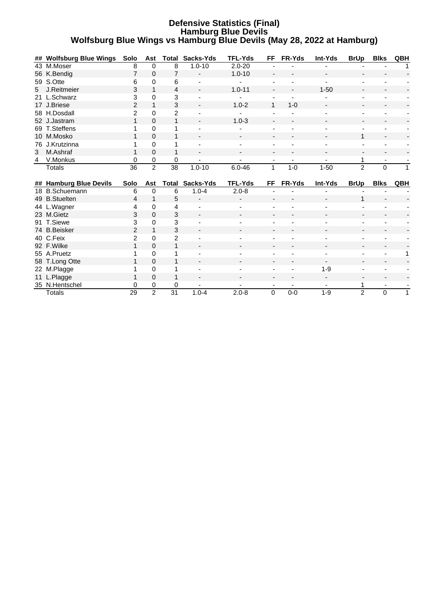#### **Defensive Statistics (Final) Hamburg Blue Devils Wolfsburg Blue Wings vs Hamburg Blue Devils (May 28, 2022 at Hamburg)**

|   | ## Wolfsburg Blue Wings | Solo           | Ast                 | Total                | Sacks-Yds                | <b>TFL-Yds</b> | FF.                      | <b>FR-Yds</b>            | Int-Yds                  | <b>BrUp</b>              | <b>Blks</b> | QBH |
|---|-------------------------|----------------|---------------------|----------------------|--------------------------|----------------|--------------------------|--------------------------|--------------------------|--------------------------|-------------|-----|
|   | 43 M.Moser              | 8              | 0                   | 8                    | $1.0 - 10$               | $2.0 - 20$     |                          |                          |                          |                          |             |     |
|   | 56 K.Bendig             | 7              | 0                   | 7                    |                          | $1.0 - 10$     |                          |                          |                          |                          |             |     |
|   | 59 S.Otte               | 6              | 0                   | 6                    |                          |                |                          |                          |                          |                          |             |     |
| 5 | J.Reitmeier             | 3              | 1                   | 4                    |                          | $1.0 - 11$     |                          |                          | $1 - 50$                 |                          |             |     |
|   | 21 L.Schwarz            | 3              | $\Omega$            | 3                    |                          |                |                          |                          |                          |                          |             |     |
|   | 17 J.Briese             | $\overline{2}$ | 1                   | 3                    |                          | $1.0 - 2$      | 1                        | $1 - 0$                  |                          |                          |             |     |
|   | 58 H.Dosdall            | 2              | $\Omega$            | $\overline{c}$       |                          |                |                          |                          |                          | $\overline{\phantom{a}}$ |             |     |
|   | 52 J.Jastram            | 1              | $\Omega$            | 1                    |                          | $1.0 - 3$      |                          |                          |                          |                          |             |     |
|   | 69 T.Steffens           |                | $\Omega$            |                      |                          |                |                          |                          |                          |                          |             |     |
|   | 10 M.Mosko              | 1              | $\Omega$            | 1                    |                          |                |                          |                          |                          | 1                        |             |     |
|   | 76 J.Krutzinna          |                | 0                   |                      |                          |                |                          |                          |                          |                          |             |     |
| 3 | M.Ashraf                |                | 0                   | 1                    | $\overline{\phantom{a}}$ |                | $\overline{\phantom{0}}$ |                          |                          |                          |             |     |
| 4 | V.Monkus                | 0              | 0                   | 0                    |                          |                |                          |                          |                          | 1                        |             |     |
|   | <b>Totals</b>           | 36             | $\overline{2}$      | $\overline{38}$      | $1.0 - 10$               | $6.0 - 46$     | 1                        | $1 - 0$                  | $1 - 50$                 | $\overline{2}$           | $\mathbf 0$ |     |
|   |                         |                |                     |                      |                          |                |                          |                          |                          |                          |             |     |
|   |                         |                |                     |                      |                          |                |                          |                          |                          |                          |             |     |
|   | ## Hamburg Blue Devils  | Solo           | Ast                 | Total                | Sacks-Yds                | <b>TFL-Yds</b> | FF                       | FR-Yds                   | Int-Yds                  | <b>BrUp</b>              | <b>Blks</b> | QBH |
|   | 18 B.Schuemann          | 6              | 0                   | 6                    | $1.0 - 4$                | $2.0 - 8$      |                          |                          |                          |                          |             |     |
|   | 49 B.Stuelten           | 4              | 1                   | 5                    |                          |                |                          |                          |                          | 1                        |             |     |
|   | 44 L.Wagner             | 4              | $\Omega$            | 4                    |                          |                |                          |                          |                          |                          |             |     |
|   | 23 M.Gietz              | 3              | $\Omega$            | 3                    |                          |                |                          |                          |                          |                          |             |     |
|   | 91 T.Siewe              | 3              | 0                   | 3                    |                          |                |                          |                          |                          |                          |             |     |
|   | 74 B.Beisker            | $\overline{2}$ | 1                   | 3                    |                          |                |                          |                          |                          |                          |             |     |
|   | 40 C.Feix               | $\overline{2}$ | $\Omega$            | $\overline{c}$       |                          |                |                          |                          |                          |                          |             |     |
|   | 92 F.Wilke              |                | 0                   | 1                    |                          |                |                          |                          |                          |                          |             |     |
|   | 55 A.Pruetz             |                | 0                   |                      |                          |                |                          |                          |                          |                          |             | 1   |
|   | 58 T.Long Otte          |                | $\Omega$            |                      |                          |                |                          |                          | $\overline{\phantom{a}}$ |                          |             |     |
|   | 22 M.Plagge             |                | 0                   |                      |                          |                |                          |                          | $1 - 9$                  |                          |             |     |
|   | 11 L.Plagge             |                | $\Omega$            | 1                    |                          |                |                          |                          |                          |                          |             |     |
|   | 35 N.Hentschel          | 0<br>29        | 0<br>$\overline{2}$ | 0<br>$\overline{31}$ | $1.0 - 4$                |                | $\overline{\phantom{a}}$ | $\overline{\phantom{a}}$ | $\overline{\phantom{a}}$ |                          | ٠           |     |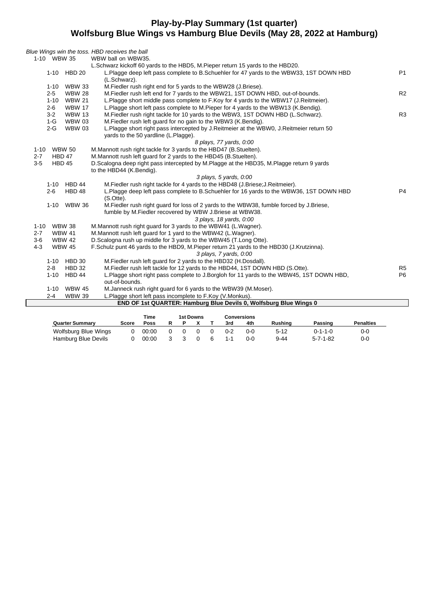## **Play-by-Play Summary (1st quarter) Wolfsburg Blue Wings vs Hamburg Blue Devils (May 28, 2022 at Hamburg)**

|                           | Blue Wings win the toss. HBD receives the ball                                            |                |
|---------------------------|-------------------------------------------------------------------------------------------|----------------|
| 1-10 WBW 35               | WBW ball on WBW35.                                                                        |                |
|                           | L.Schwarz kickoff 60 yards to the HBD5, M.Pieper return 15 yards to the HBD20.            |                |
| 1-10 HBD 20               | L.Plagge deep left pass complete to B.Schuehler for 47 yards to the WBW33, 1ST DOWN HBD   | <b>P1</b>      |
|                           | (L.Schwarz).                                                                              |                |
| <b>WBW 33</b><br>$1 - 10$ | M. Fiedler rush right end for 5 yards to the WBW28 (J. Briese).                           |                |
| $2 - 5$<br><b>WBW 28</b>  | M. Fiedler rush left end for 7 yards to the WBW21, 1ST DOWN HBD, out-of-bounds.           | R <sub>2</sub> |
| $1 - 10$<br><b>WBW 21</b> | L.Plagge short middle pass complete to F.Koy for 4 yards to the WBW17 (J.Reitmeier).      |                |
| $2 - 6$<br><b>WBW 17</b>  | L.Plagge short left pass complete to M.Pieper for 4 yards to the WBW13 (K.Bendig).        |                |
| $3 - 2$<br><b>WBW 13</b>  | M. Fiedler rush right tackle for 10 yards to the WBW3, 1ST DOWN HBD (L. Schwarz).         | R <sub>3</sub> |
| $1-G$<br><b>WBW 03</b>    | M. Fiedler rush left quard for no gain to the WBW3 (K. Bendig).                           |                |
| $2-G$<br><b>WBW 03</b>    | L.Plagge short right pass intercepted by J.Reitmeier at the WBW0, J.Reitmeier return 50   |                |
|                           | yards to the 50 yardline (L.Plagge).                                                      |                |
|                           | 8 plays, 77 yards, 0:00                                                                   |                |
| <b>WBW 50</b><br>$1 - 10$ | M.Mannott rush right tackle for 3 yards to the HBD47 (B.Stuelten).                        |                |
| <b>HBD 47</b><br>$2 - 7$  | M.Mannott rush left guard for 2 yards to the HBD45 (B.Stuelten).                          |                |
| $3-5$<br><b>HBD 45</b>    | D.Scalogna deep right pass intercepted by M.Plagge at the HBD35, M.Plagge return 9 yards  |                |
|                           | to the HBD44 (K.Bendig).                                                                  |                |
|                           | 3 plays, 5 yards, 0:00                                                                    |                |
| 1-10 HBD 44               | M. Fiedler rush right tackle for 4 yards to the HBD48 (J. Briese; J. Reitmeier).          |                |
| HBD 48<br>$2 - 6$         | L.Plagge deep left pass complete to B.Schuehler for 16 yards to the WBW36, 1ST DOWN HBD   | P <sub>4</sub> |
|                           | (S.Otte).                                                                                 |                |
| 1-10 WBW 36               | M. Fiedler rush right guard for loss of 2 yards to the WBW38, fumble forced by J. Briese, |                |
|                           | fumble by M. Fiedler recovered by WBW J. Briese at WBW38.                                 |                |
|                           | 3 plays, 18 yards, 0:00                                                                   |                |
| 1-10 WBW 38               | M.Mannott rush right guard for 3 yards to the WBW41 (L.Wagner).                           |                |
| <b>WBW 41</b><br>$2 - 7$  | M.Mannott rush left quard for 1 yard to the WBW42 (L.Wagner).                             |                |
| $3-6$<br><b>WBW 42</b>    | D.Scalogna rush up middle for 3 yards to the WBW45 (T.Long Otte).                         |                |
| $4 - 3$<br><b>WBW 45</b>  | F.Schulz punt 46 yards to the HBD9, M.Pieper return 21 yards to the HBD30 (J.Krutzinna).  |                |
|                           | 3 plays, 7 yards, 0:00                                                                    |                |
| 1-10 HBD 30               | M. Fiedler rush left guard for 2 yards to the HBD32 (H. Dosdall).                         |                |
| $2 - 8$<br><b>HBD 32</b>  | M. Fiedler rush left tackle for 12 yards to the HBD44, 1ST DOWN HBD (S.Otte).             | R <sub>5</sub> |
| $1 - 10$<br>HBD 44        | L.Plagge short right pass complete to J.Borgloh for 11 yards to the WBW45, 1ST DOWN HBD,  | P <sub>6</sub> |
|                           | out-of-bounds.                                                                            |                |
| 1-10 WBW 45               | M.Janneck rush right guard for 6 yards to the WBW39 (M.Moser).                            |                |
| $2 - 4$<br><b>WBW 39</b>  | L.Plagge short left pass incomplete to F.Koy (V.Monkus).                                  |                |
|                           | END OF 1st QUARTER: Hamburg Blue Devils 0, Wolfsburg Blue Wings 0                         |                |
|                           |                                                                                           |                |

|                        |       | Time<br>1st Downs<br><b>Conversions</b> |  |  |  |         |     |                |                  |                  |
|------------------------|-------|-----------------------------------------|--|--|--|---------|-----|----------------|------------------|------------------|
| <b>Quarter Summary</b> | Score | Poss                                    |  |  |  | 3rd     | 4th | <b>Rushing</b> | Passing          | <b>Penalties</b> |
| Wolfsburg Blue Wings   |       | 00:00                                   |  |  |  | $0 - 2$ | 0-0 | $5 - 12$       | ი-1-1-ი          | 0-0              |
| Hamburg Blue Devils    |       | 00:00                                   |  |  |  |         | 0-0 | 9-44           | $5 - 7 - 1 - 82$ | 0-0              |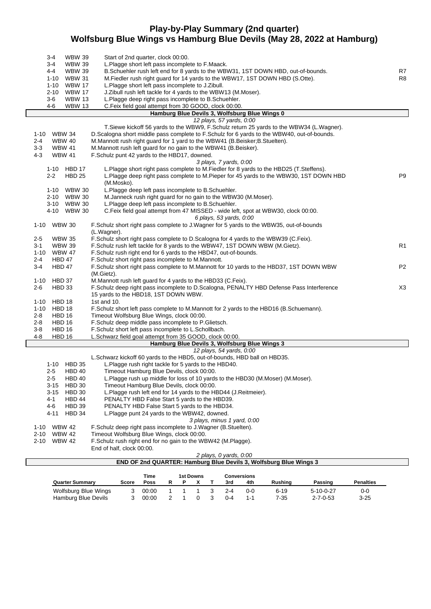## **Play-by-Play Summary (2nd quarter) Wolfsburg Blue Wings vs Hamburg Blue Devils (May 28, 2022 at Hamburg)**

|                  | $3 - 4$<br>3-4<br>4-4<br>1-10  | <b>WBW 39</b><br><b>WBW 39</b><br><b>WBW 39</b><br><b>WBW 31</b> | Start of 2nd quarter, clock 00:00.<br>L.Plagge short left pass incomplete to F.Maack.<br>B.Schuehler rush left end for 8 yards to the WBW31, 1ST DOWN HBD, out-of-bounds.<br>M. Fiedler rush right guard for 14 yards to the WBW17, 1ST DOWN HBD (S. Otte). | R7<br>R8       |
|------------------|--------------------------------|------------------------------------------------------------------|-------------------------------------------------------------------------------------------------------------------------------------------------------------------------------------------------------------------------------------------------------------|----------------|
|                  | 1-10                           | <b>WBW 17</b>                                                    | L.Plagge short left pass incomplete to J.Zibull.                                                                                                                                                                                                            |                |
|                  | 2-10                           | <b>WBW 17</b>                                                    | J. Zibull rush left tackle for 4 yards to the WBW13 (M. Moser).                                                                                                                                                                                             |                |
|                  | $3-6$                          | <b>WBW 13</b>                                                    | L.Plagge deep right pass incomplete to B.Schuehler.                                                                                                                                                                                                         |                |
|                  | 4-6                            | <b>WBW 13</b>                                                    | C.Feix field goal attempt from 30 GOOD, clock 00:00.<br>Hamburg Blue Devils 3, Wolfsburg Blue Wings 0                                                                                                                                                       |                |
|                  |                                |                                                                  | 12 plays, 57 yards, 0:00                                                                                                                                                                                                                                    |                |
|                  |                                |                                                                  | T. Siewe kickoff 56 yards to the WBW9, F. Schulz return 25 yards to the WBW34 (L. Wagner).                                                                                                                                                                  |                |
|                  | 1-10 WBW 34                    |                                                                  | D.Scalogna short middle pass complete to F.Schulz for 6 yards to the WBW40, out-of-bounds.                                                                                                                                                                  |                |
| $2 - 4$          | <b>WBW 40</b>                  |                                                                  | M.Mannott rush right guard for 1 yard to the WBW41 (B.Beisker;B.Stuelten).                                                                                                                                                                                  |                |
| $3 - 3$          | <b>WBW 41</b>                  |                                                                  | M.Mannott rush left guard for no gain to the WBW41 (B.Beisker).                                                                                                                                                                                             |                |
| $4 - 3$          | <b>WBW 41</b>                  |                                                                  | F.Schulz punt 42 yards to the HBD17, downed.                                                                                                                                                                                                                |                |
|                  |                                |                                                                  | 3 plays, 7 yards, 0:00                                                                                                                                                                                                                                      |                |
|                  | 1-10<br>$2 - 2$                | <b>HBD 17</b><br><b>HBD 25</b>                                   | L.Plagge short right pass complete to M.Fiedler for 8 yards to the HBD25 (T.Steffens).<br>L. Plagge deep right pass complete to M. Pieper for 45 yards to the WBW30, 1ST DOWN HBD<br>(M.Mosko).                                                             | P <sub>9</sub> |
|                  |                                | 1-10 WBW 30                                                      | L.Plagge deep left pass incomplete to B.Schuehler.                                                                                                                                                                                                          |                |
|                  |                                | 2-10 WBW 30                                                      | M.Janneck rush right guard for no gain to the WBW30 (M.Moser).                                                                                                                                                                                              |                |
|                  |                                | 3-10 WBW 30                                                      | L.Plagge deep left pass incomplete to B.Schuehler.                                                                                                                                                                                                          |                |
|                  |                                | 4-10 WBW 30                                                      | C. Feix field goal attempt from 47 MISSED - wide left, spot at WBW30, clock 00:00.                                                                                                                                                                          |                |
|                  |                                |                                                                  | 6 plays, 53 yards, 0:00                                                                                                                                                                                                                                     |                |
| 1-10             | <b>WBW 30</b>                  |                                                                  | F.Schulz short right pass complete to J.Wagner for 5 yards to the WBW35, out-of-bounds                                                                                                                                                                      |                |
| 2-5              | <b>WBW 35</b>                  |                                                                  | (L.Wagner).<br>F.Schulz short right pass complete to D.Scalogna for 4 yards to the WBW39 (C.Feix).                                                                                                                                                          |                |
| 3-1              | <b>WBW 39</b>                  |                                                                  | F.Schulz rush left tackle for 8 yards to the WBW47, 1ST DOWN WBW (M.Gietz).                                                                                                                                                                                 | R <sub>1</sub> |
| $1 - 10$         | <b>WBW 47</b>                  |                                                                  | F. Schulz rush right end for 6 yards to the HBD47, out-of-bounds.                                                                                                                                                                                           |                |
| $2 - 4$          | HBD 47                         |                                                                  | F.Schulz short right pass incomplete to M.Mannott.                                                                                                                                                                                                          |                |
| $3-4$            | HBD 47                         |                                                                  | F.Schulz short right pass complete to M.Mannott for 10 yards to the HBD37, 1ST DOWN WBW<br>(M.Gietz).                                                                                                                                                       | P <sub>2</sub> |
| 1-10             | HBD 37                         |                                                                  | M.Mannott rush left guard for 4 yards to the HBD33 (C.Feix).                                                                                                                                                                                                |                |
| $2 - 6$<br>1-10  | <b>HBD 33</b><br><b>HBD 18</b> |                                                                  | F.Schulz deep right pass incomplete to D.Scalogna, PENALTY HBD Defense Pass Interference<br>15 yards to the HBD18, 1ST DOWN WBW.<br>1st and 10.                                                                                                             | X <sub>3</sub> |
| 1-10             | HBD 18                         |                                                                  | F.Schulz short left pass complete to M.Mannott for 2 yards to the HBD16 (B.Schuemann).                                                                                                                                                                      |                |
| $2 - 8$          | <b>HBD 16</b>                  |                                                                  | Timeout Wolfsburg Blue Wings, clock 00:00.                                                                                                                                                                                                                  |                |
| $2 - 8$          | HBD 16                         |                                                                  | F.Schulz deep middle pass incomplete to P.Glietsch.                                                                                                                                                                                                         |                |
| $3 - 8$          | <b>HBD 16</b>                  |                                                                  | F.Schulz short left pass incomplete to L.Schollbach.                                                                                                                                                                                                        |                |
| $4 - 8$          | <b>HBD 16</b>                  |                                                                  | L.Schwarz field goal attempt from 35 GOOD, clock 00:00.                                                                                                                                                                                                     |                |
|                  |                                |                                                                  | Hamburg Blue Devils 3, Wolfsburg Blue Wings 3                                                                                                                                                                                                               |                |
|                  |                                |                                                                  | 12 plays, 54 yards, 0:00<br>L.Schwarz kickoff 60 yards to the HBD5, out-of-bounds, HBD ball on HBD35.                                                                                                                                                       |                |
|                  | 1-10 HBD 35                    |                                                                  | L.Plagge rush right tackle for 5 yards to the HBD40.                                                                                                                                                                                                        |                |
|                  | 2-5                            | HBD 40                                                           | Timeout Hamburg Blue Devils, clock 00:00.                                                                                                                                                                                                                   |                |
|                  | $2 - 5$                        | <b>HBD 40</b>                                                    | L.Plagge rush up middle for loss of 10 yards to the HBD30 (M.Moser) (M.Moser).                                                                                                                                                                              |                |
|                  | 3-15                           | <b>HBD 30</b>                                                    | Timeout Hamburg Blue Devils, clock 00:00.                                                                                                                                                                                                                   |                |
|                  | 3-15                           | <b>HBD 30</b>                                                    | L.Plagge rush left end for 14 yards to the HBD44 (J.Reitmeier).                                                                                                                                                                                             |                |
|                  | 4-1                            | HBD 44                                                           | PENALTY HBD False Start 5 yards to the HBD39.                                                                                                                                                                                                               |                |
|                  | 4-6                            | <b>HBD 39</b>                                                    | PENALTY HBD False Start 5 yards to the HBD34.                                                                                                                                                                                                               |                |
|                  | 4-11                           | HBD 34                                                           | L.Plagge punt 24 yards to the WBW42, downed.                                                                                                                                                                                                                |                |
|                  |                                |                                                                  | 3 plays, minus 1 yard, 0:00                                                                                                                                                                                                                                 |                |
| 1-10<br>$2 - 10$ | <b>WBW 42</b><br><b>WBW 42</b> |                                                                  | F.Schulz deep right pass incomplete to J.Wagner (B.Stuelten).<br>Timeout Wolfsburg Blue Wings, clock 00:00.                                                                                                                                                 |                |
|                  | 2-10 WBW 42                    |                                                                  | F. Schulz rush right end for no gain to the WBW42 (M. Plagge).                                                                                                                                                                                              |                |
|                  |                                |                                                                  | End of half, clock 00:00.                                                                                                                                                                                                                                   |                |
|                  |                                |                                                                  | 2 plays, 0 yards, 0:00                                                                                                                                                                                                                                      |                |
|                  |                                |                                                                  | END OF 2nd QUARTER: Hamburg Blue Devils 3, Wolfsburg Blue Wings 3                                                                                                                                                                                           |                |
|                  |                                |                                                                  |                                                                                                                                                                                                                                                             |                |

|                        |       | Time  | 1st Downs<br>Conversions |  |  |     |            |                |                   |                  |
|------------------------|-------|-------|--------------------------|--|--|-----|------------|----------------|-------------------|------------------|
| <b>Quarter Summary</b> | Score | Poss  |                          |  |  | 3rd | 4th        | <b>Rushing</b> | Passing           | <b>Penalties</b> |
| Wolfsburg Blue Wings   |       | 00:00 |                          |  |  | 2-4 | <u>ດ-ດ</u> | 6-19           | $5 - 10 - 0 - 27$ | 0-0              |
| Hamburg Blue Devils    |       | 00:00 |                          |  |  | በ-4 |            | 7-35           | $2 - 7 - 0 - 53$  | $3 - 25$         |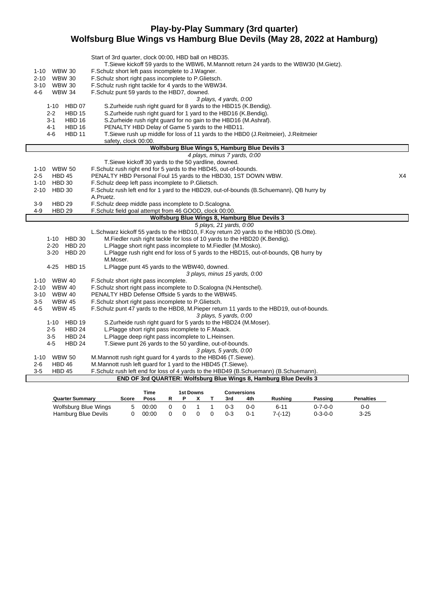## **Play-by-Play Summary (3rd quarter) Wolfsburg Blue Wings vs Hamburg Blue Devils (May 28, 2022 at Hamburg)**

|                              | Start of 3rd quarter, clock 00:00, HBD ball on HBD35.                                                                                                |    |
|------------------------------|------------------------------------------------------------------------------------------------------------------------------------------------------|----|
|                              | T.Siewe kickoff 59 yards to the WBW6, M.Mannott return 24 yards to the WBW30 (M.Gietz).                                                              |    |
| <b>WBW 30</b><br>1-10        | F. Schulz short left pass incomplete to J. Wagner.                                                                                                   |    |
| 2-10<br><b>WBW 30</b>        | F.Schulz short right pass incomplete to P.Glietsch.                                                                                                  |    |
| <b>WBW 30</b><br>3-10        | F.Schulz rush right tackle for 4 yards to the WBW34.                                                                                                 |    |
| 4-6<br><b>WBW 34</b>         | F.Schulz punt 59 yards to the HBD7, downed.                                                                                                          |    |
|                              | 3 plays, 4 yards, 0:00                                                                                                                               |    |
| HBD 07<br>1-10               | S. Zurheide rush right guard for 8 yards to the HBD15 (K. Bendig).                                                                                   |    |
| $2 - 2$<br><b>HBD 15</b>     | S.Zurheide rush right guard for 1 yard to the HBD16 (K.Bendig).                                                                                      |    |
| <b>HBD 16</b><br>3-1         | S.Zurheide rush right guard for no gain to the HBD16 (M.Ashraf).                                                                                     |    |
| 4-1<br><b>HBD 16</b>         | PENALTY HBD Delay of Game 5 yards to the HBD11.                                                                                                      |    |
| $4 - 6$<br><b>HBD 11</b>     | T. Siewe rush up middle for loss of 11 yards to the HBD0 (J. Reitmeier), J. Reitmeier                                                                |    |
|                              | safety, clock 00:00.                                                                                                                                 |    |
|                              | Wolfsburg Blue Wings 5, Hamburg Blue Devils 3                                                                                                        |    |
|                              | 4 plays, minus 7 yards, 0:00                                                                                                                         |    |
|                              | T.Siewe kickoff 30 yards to the 50 yardline, downed.                                                                                                 |    |
| 1-10 WBW 50                  | F.Schulz rush right end for 5 yards to the HBD45, out-of-bounds.                                                                                     |    |
| $2 - 5$<br><b>HBD 45</b>     | PENALTY HBD Personal Foul 15 yards to the HBD30, 1ST DOWN WBW.                                                                                       | X4 |
| $1 - 10$<br><b>HBD 30</b>    | F.Schulz deep left pass incomplete to P.Glietsch.                                                                                                    |    |
| 2-10<br>HBD 30               | F.Schulz rush left end for 1 yard to the HBD29, out-of-bounds (B.Schuemann), QB hurry by                                                             |    |
|                              | A.Pruetz.                                                                                                                                            |    |
| $3-9$<br><b>HBD 29</b>       | F.Schulz deep middle pass incomplete to D.Scalogna.                                                                                                  |    |
| 4-9<br><b>HBD 29</b>         | F.Schulz field goal attempt from 46 GOOD, clock 00:00.                                                                                               |    |
|                              | Wolfsburg Blue Wings 8, Hamburg Blue Devils 3                                                                                                        |    |
|                              | 5 plays, 21 yards, 0:00                                                                                                                              |    |
|                              | L.Schwarz kickoff 55 yards to the HBD10, F.Koy return 20 yards to the HBD30 (S.Otte).                                                                |    |
| 1-10 HBD 30<br>2-20 HBD 20   | M. Fiedler rush right tackle for loss of 10 yards to the HBD20 (K. Bendig).                                                                          |    |
| 3-20 HBD 20                  | L.Plagge short right pass incomplete to M.Fiedler (M.Mosko).<br>L.Plagge rush right end for loss of 5 yards to the HBD15, out-of-bounds, QB hurry by |    |
|                              | M.Moser.                                                                                                                                             |    |
| 4-25 HBD 15                  | L.Plagge punt 45 yards to the WBW40, downed.                                                                                                         |    |
|                              | 3 plays, minus 15 yards, 0:00                                                                                                                        |    |
| 1-10 WBW 40                  | F.Schulz short right pass incomplete.                                                                                                                |    |
| <b>WBW 40</b><br>2-10        | F.Schulz short right pass incomplete to D.Scalogna (N.Hentschel).                                                                                    |    |
| 3-10<br><b>WBW 40</b>        | PENALTY HBD Defense Offside 5 yards to the WBW45.                                                                                                    |    |
| $3-5$<br><b>WBW 45</b>       | F.Schulz short right pass incomplete to P.Glietsch.                                                                                                  |    |
| 4-5<br><b>WBW 45</b>         | F.Schulz punt 47 yards to the HBD8, M.Pieper return 11 yards to the HBD19, out-of-bounds.                                                            |    |
|                              | 3 plays, 5 yards, 0:00                                                                                                                               |    |
| 1-10 HBD 19                  | S. Zurheide rush right guard for 5 yards to the HBD24 (M. Moser).                                                                                    |    |
| HBD <sub>24</sub><br>$2 - 5$ | L.Plagge short right pass incomplete to F.Maack.                                                                                                     |    |
| HBD <sub>24</sub><br>35      | L.Plagge deep right pass incomplete to L.Heinsen.                                                                                                    |    |
| $4-5$<br><b>HBD 24</b>       | T. Siewe punt 26 yards to the 50 yardline, out-of-bounds.                                                                                            |    |
|                              | 3 plays, 5 yards, 0:00                                                                                                                               |    |
| 1-10 WBW 50                  | M.Mannott rush right guard for 4 yards to the HBD46 (T.Siewe).                                                                                       |    |
| $2 - 6$<br>HBD 46            | M.Mannott rush left guard for 1 yard to the HBD45 (T.Siewe).                                                                                         |    |
| $3-5$<br>HBD 45              | F.Schulz rush left end for loss of 4 yards to the HBD49 (B.Schuemann) (B.Schuemann).                                                                 |    |
|                              | END OF 3rd QUARTER: Wolfsburg Blue Wings 8, Hamburg Blue Devils 3                                                                                    |    |
|                              |                                                                                                                                                      |    |

|                        |       | Time  |            | 1st Downs |         | <b>Conversions</b> |                |                 |                  |
|------------------------|-------|-------|------------|-----------|---------|--------------------|----------------|-----------------|------------------|
| <b>Quarter Summary</b> | Score | Poss  |            |           | 3rd     | 4th                | <b>Rushing</b> | Passinɑ         | <b>Penalties</b> |
| Wolfsburg Blue Wings   |       | 00:00 | $^{\circ}$ |           | $0 - 3$ | ი-ი                | 6-11           | 0-7-0-0         | 0-0              |
| Hamburg Blue Devils    |       | 00:00 |            |           | $0 - 3$ | 0-1                | $7-(-12)$      | $0 - 3 - 0 - 0$ | $3 - 25$         |